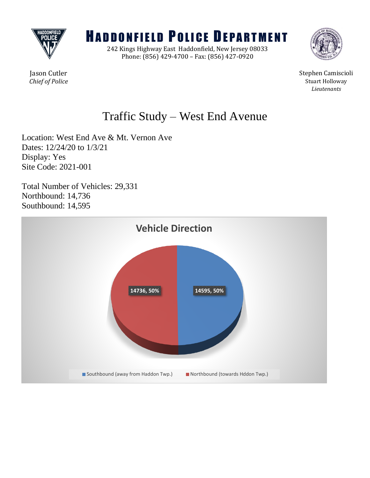

# **HADDONFIELD POLICE DEPARTMENT**

242 Kings Highway East Haddonfield, New Jersey 08033 Phone: (856) 429-4700 – Fax: (856) 427-0920



Jason Cutler Stephen Camiscioli **Chief of Police** Stuart Holloway *Lieutenants*

## Traffic Study – West End Avenue

Location: West End Ave & Mt. Vernon Ave Dates: 12/24/20 to 1/3/21 Display: Yes Site Code: 2021-001

Total Number of Vehicles: 29,331 Northbound: 14,736 Southbound: 14,595